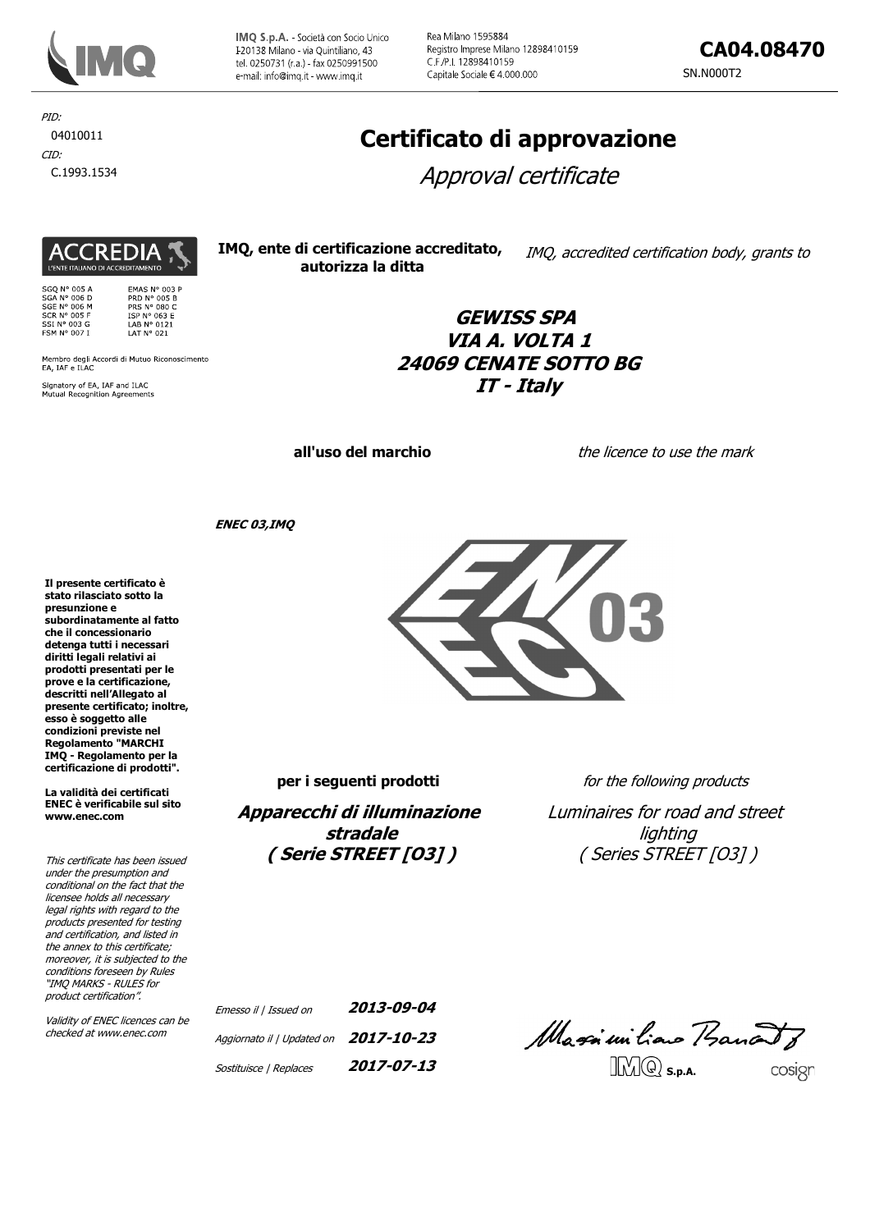

IMQ S.p.A. - Società con Socio Unico I-20138 Milano - via Quintiliano, 43 tel. 0250731 (r.a.) - fax 0250991500 e-mail: info@imq.it - www.imq.it

Rea Milano 1595884 Registro Imprese Milano 12898410159 C F /P I 12898410159 Capitale Sociale € 4.000.000

PID: 04010011 CID:

C.1993.1534

SGQ N° 005 A<br>SGA N° 006 D<br>SGE N° 006 M<br>SCR N° 005 F<br>SSI N° 003 G<br>FSM N° 007 I

**ACCREDIA** 

L'ENTE ITALIANO DI ACCREDITAMENTO

Signatory of EA, IAF and ILAC<br>Mutual Recognition Agreements

Membro degli Accordi di Mutuo Riconoscimento<br>EA, IAF e ILAC

EMAS Nº 003 P EMAS N° 003<br>PRD N° 005 B<br>PRS N° 080 C<br>ISP N° 063 E<br>LAB N° 0121<br>LAT N° 021

# Certificato di approvazione

Approval certificate

IMO, ente di certificazione accreditato, IMQ, accredited certification body, grants to autorizza la ditta

# **GEWISS SPA** VIA A. VOLTA 1 **24069 CENATE SOTTO BG**  $IT$  - Italv

all'uso del marchio

the licence to use the mark

**ENEC 03, IMO** 

Il presente certificato è stato rilasciato sotto la presunzione e .<br>subordinatamente al fatto che il concessionario detenga tutti i necessari diritti legali relativi ai prodotti presentati per le prove e la certificazione, descritti nell'Allegato al presente certificato; inoltre, esso è soggetto alle condizioni previste nel Regolamento "MARCHI IMQ - Regolamento per la certificazione di prodotti".

La validità dei certificati **ENEC** è verificabile sul sito www.enec.com

This certificate has been issued under the presumption and conditional on the fact that the licensee holds all necessary legal rights with regard to the products presented for testing and certification, and listed in the annex to this certificate; moreover, it is subjected to the conditions foreseen by Rules "IMQ MARKS - RULES for product certification".

Validity of ENEC licences can be checked at www.enec.com



per i seguenti prodotti

Apparecchi di illuminazione stradale (Serie STREET [03])

for the following products

Luminaires for road and street lighting (Series STREET [03])

| Emesso il   Issued on                       | 2013-09-04 |
|---------------------------------------------|------------|
| Aggiornato il   Updated on $2017 - 10 - 23$ |            |
| Sostituisce   Replaces                      | 2017-07-13 |

Massiuiliano Bancoto  $\Box$  $\Box$  $\Box$  $\Box$  $\Box$  $\Box$  $\Box$ cosign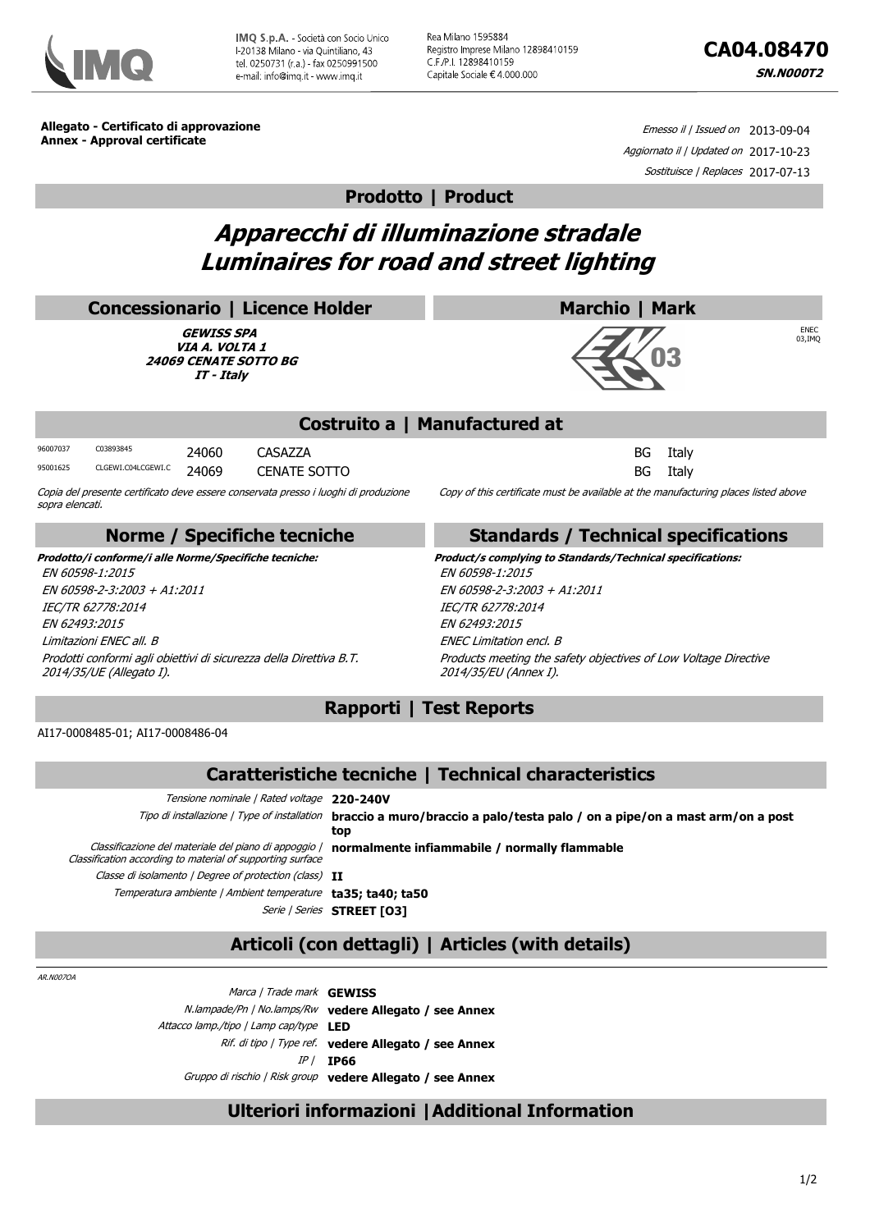

Rea Milano 1595884 Registro Imprese Milano 12898410159 C.F./P.I. 12898410159 Capitale Sociale €4 000.000

Allegato - Certificato di approvazione **Annex - Approval certificate** 

Emesso il / Issued on 2013-09-04 Aggiornato il | Updated on 2017-10-23 Sostituisce / Replaces 2017-07-13

**Prodotto | Product** 

# Apparecchi di illuminazione stradale **Luminaires for road and street lighting**

|                                                                                                                                                                                                                                                                            | <b>Concessionario   Licence Holder</b>                                                                                 |                                                   |                                                                                                                                                                                                                                                                                  |     |                                                                                                                           | Marchio   Mark |                |                        |
|----------------------------------------------------------------------------------------------------------------------------------------------------------------------------------------------------------------------------------------------------------------------------|------------------------------------------------------------------------------------------------------------------------|---------------------------------------------------|----------------------------------------------------------------------------------------------------------------------------------------------------------------------------------------------------------------------------------------------------------------------------------|-----|---------------------------------------------------------------------------------------------------------------------------|----------------|----------------|------------------------|
|                                                                                                                                                                                                                                                                            |                                                                                                                        | <b>GEWISS SPA</b><br>VIA A. VOLTA 1<br>IT - Italy | <b>24069 CENATE SOTTO BG</b>                                                                                                                                                                                                                                                     |     |                                                                                                                           |                |                | <b>ENEC</b><br>03, IMQ |
|                                                                                                                                                                                                                                                                            |                                                                                                                        |                                                   |                                                                                                                                                                                                                                                                                  |     | Costruito a   Manufactured at                                                                                             |                |                |                        |
| 96007037<br>95001625<br>sopra elencati.                                                                                                                                                                                                                                    | C03893845<br>CLGEWI.C04LCGEWI.C<br>Copia del presente certificato deve essere conservata presso i luoghi di produzione | 24060<br>24069                                    | CASA77A<br><b>CENATE SOTTO</b>                                                                                                                                                                                                                                                   |     | Copy of this certificate must be available at the manufacturing places listed above                                       | BG<br>BG       | Italy<br>Italy |                        |
|                                                                                                                                                                                                                                                                            |                                                                                                                        |                                                   | Norme / Specifiche tecniche                                                                                                                                                                                                                                                      |     | <b>Standards / Technical specifications</b>                                                                               |                |                |                        |
| Prodotto/i conforme/i alle Norme/Specifiche tecniche:<br>EN 60598-1:2015<br>EN 60598-2-3:2003 + A1:2011<br>IEC/TR 62778:2014<br>EN 62493:2015<br>Limitazioni ENEC all. B<br>Prodotti conformi agli obiettivi di sicurezza della Direttiva B.T.<br>2014/35/UE (Allegato I). |                                                                                                                        |                                                   | Product/s complying to Standards/Technical specifications:<br>EN 60598-1:2015<br>EN 60598-2-3:2003 + A1:2011<br>IEC/TR 62778:2014<br>EN 62493:2015<br><b>ENEC Limitation encl. B</b><br>Products meeting the safety objectives of Low Voltage Directive<br>2014/35/EU (Annex I). |     |                                                                                                                           |                |                |                        |
|                                                                                                                                                                                                                                                                            |                                                                                                                        |                                                   |                                                                                                                                                                                                                                                                                  |     | <b>Rapporti   Test Reports</b>                                                                                            |                |                |                        |
|                                                                                                                                                                                                                                                                            | AI17-0008485-01; AI17-0008486-04                                                                                       |                                                   |                                                                                                                                                                                                                                                                                  |     |                                                                                                                           |                |                |                        |
|                                                                                                                                                                                                                                                                            |                                                                                                                        |                                                   |                                                                                                                                                                                                                                                                                  |     | Caratteristiche tecniche   Technical characteristics                                                                      |                |                |                        |
|                                                                                                                                                                                                                                                                            |                                                                                                                        |                                                   | Tensione nominale   Rated voltage 220-240V                                                                                                                                                                                                                                       | top | Tipo di installazione / Type of installation braccio a muro/braccio a palo/testa palo / on a pipe/on a mast arm/on a post |                |                |                        |

Classificazione del materiale del piano di appoggio | normalmente infiammabile | normally flammable

Classification according to material of supporting surface Classe di isolamento | Degree of protection (class) II Temperatura ambiente / Ambient temperature ta35; ta40; ta50 Serie | Series STREET [03]

# Articoli (con dettagli) | Articles (with details)

AR.N0070A

Marca / Trade mark GEWISS N.lampade/Pn | No.lamps/Rw vedere Allegato / see Annex Attacco lamp./tipo | Lamp cap/type LED Rif. di tipo / Type ref. vedere Allegato / see Annex  $IP/$  IP66 Gruppo di rischio | Risk group vedere Allegato / see Annex

## Ulteriori informazioni | Additional Information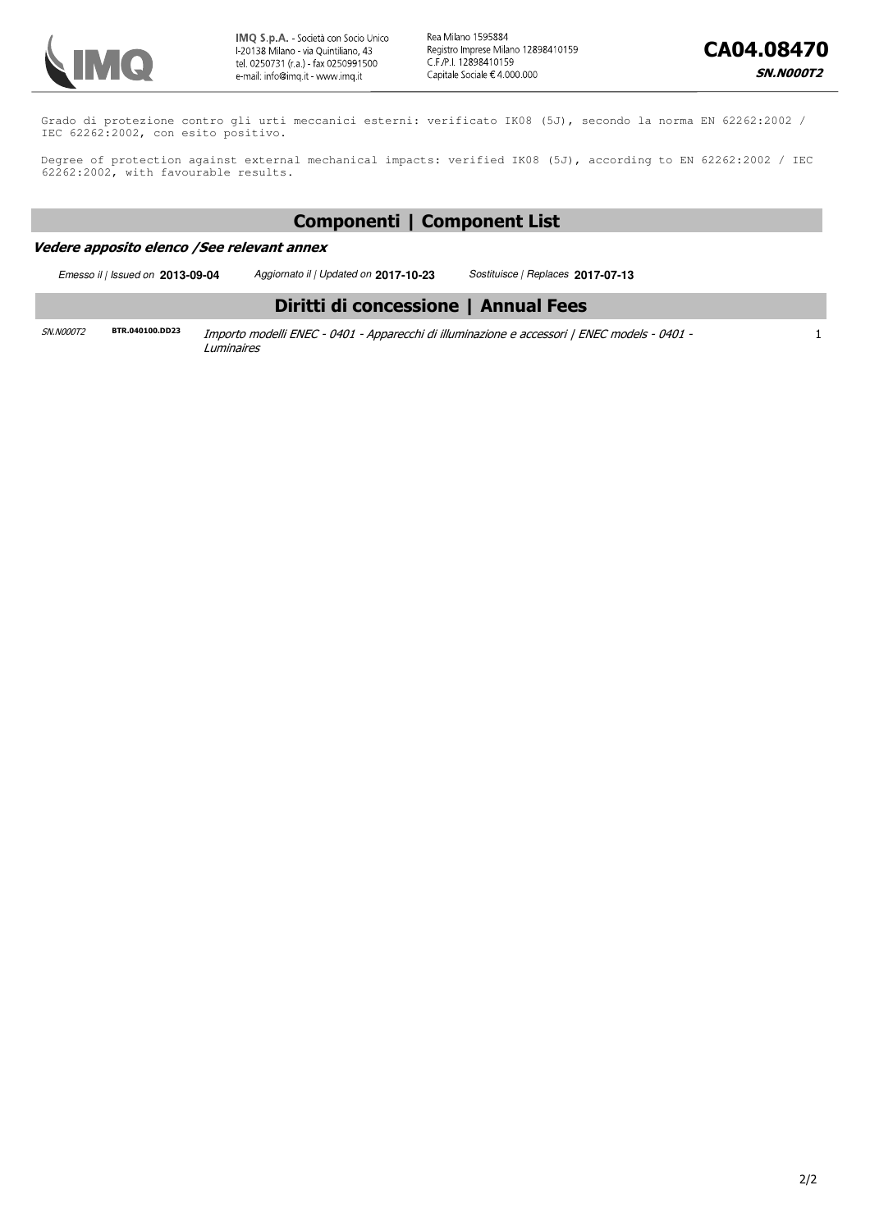

 $\mathbf{1}$ 

 $2/2$ 

Grado di protezione contro gli urti meccanici esterni: verificato IK08 (5J), secondo la norma EN 62262:2002 / IEC 62262:2002, con esito positivo.

Degree of protection against external mechanical impacts: verified IK08 (5J), according to EN 62262:2002 / IEC 62262:2002, with favourable results.

## **Componenti | Component List**

## Vedere apposito elenco / See relevant annex

Emesso il | Issued on **2013-09-04** Aggiornato il | Updated on **2017-10-23** Sostituisce | Replaces **2017-07-13** Diritti di concessione | Annual Fees 5N.N000T2 **BTR.040100.DD23** Importo modelli ENEC - 0401 - Apparecchi di illuminazione e accessori | ENEC models - 0401 -Luminaires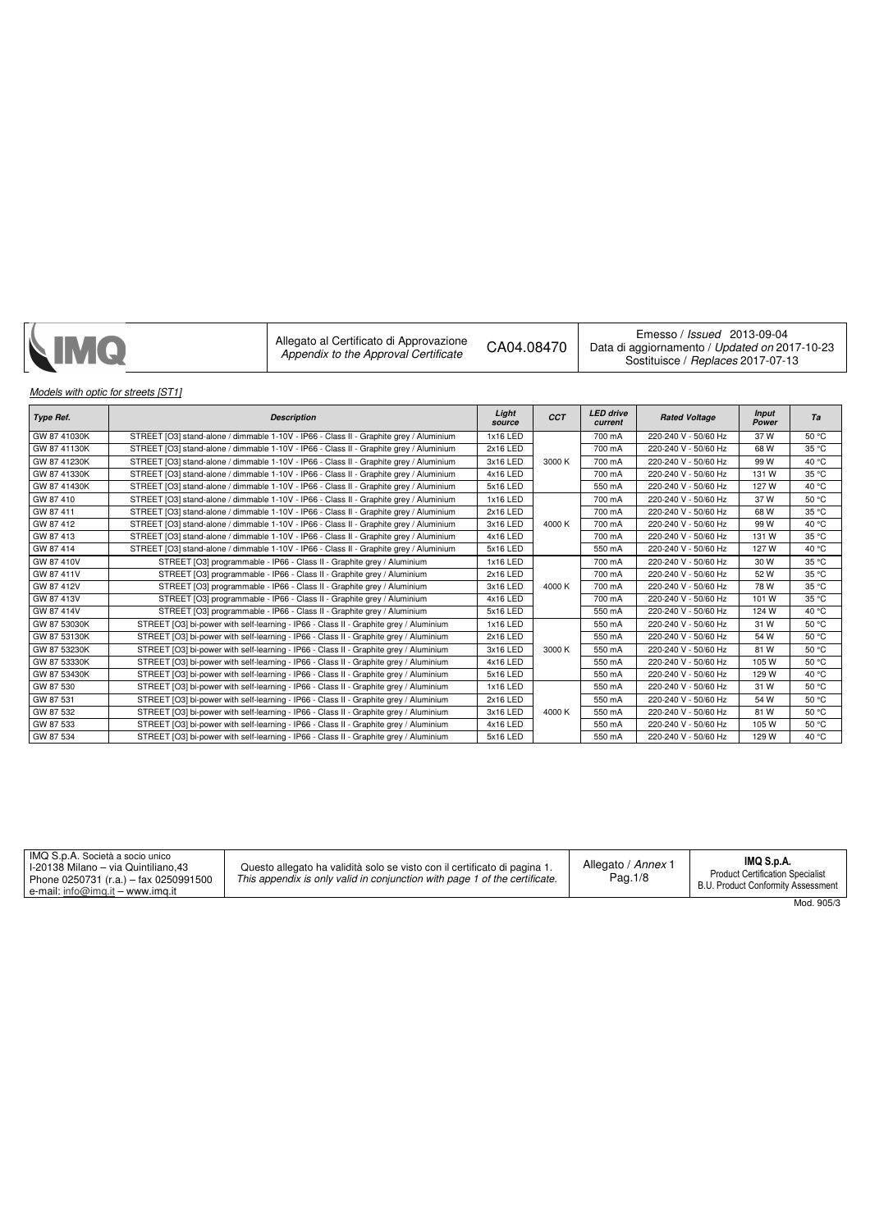| Allegato al Certificato di Approvazione<br><b>NIMQ</b><br>CA04.08470<br>Appendix to the Approval Certificate | Emesso / Issued 2013-09-04<br>Data di aggiornamento / Updated on 2017-10-23<br>Sostituisce / Replaces 2017-07-13 |
|--------------------------------------------------------------------------------------------------------------|------------------------------------------------------------------------------------------------------------------|
|--------------------------------------------------------------------------------------------------------------|------------------------------------------------------------------------------------------------------------------|

## **Models with optic for streets [ST1]**

| <b>Type Ref.</b> | <b>Description</b>                                                                     | Light<br>source | <b>CCT</b> | <b>LED</b> drive<br>current | <b>Rated Voltage</b> | <b>Input</b><br>Power | Ta    |
|------------------|----------------------------------------------------------------------------------------|-----------------|------------|-----------------------------|----------------------|-----------------------|-------|
| GW 87 41030K     | STREET [O3] stand-alone / dimmable 1-10V - IP66 - Class II - Graphite grey / Aluminium | 1x16 LED        |            | 700 mA                      | 220-240 V - 50/60 Hz | 37 W                  | 50 °C |
| GW 87 41130K     | STREET [O3] stand-alone / dimmable 1-10V - IP66 - Class II - Graphite grey / Aluminium | 2x16 LED        |            | 700 mA                      | 220-240 V - 50/60 Hz | 68 W                  | 35 °C |
| GW 87 41230K     | STREET [O3] stand-alone / dimmable 1-10V - IP66 - Class II - Graphite grey / Aluminium | 3x16 LED        | 3000 K     | 700 mA                      | 220-240 V - 50/60 Hz | 99 W                  | 40 °C |
| GW 87 41330K     | STREET [O3] stand-alone / dimmable 1-10V - IP66 - Class II - Graphite grey / Aluminium | 4x16 LED        |            | 700 mA                      | 220-240 V - 50/60 Hz | 131 W                 | 35 °C |
| GW 87 41430K     | STREET [O3] stand-alone / dimmable 1-10V - IP66 - Class II - Graphite grey / Aluminium | 5x16 LED        |            | 550 mA                      | 220-240 V - 50/60 Hz | 127 W                 | 40 °C |
| GW 87 410        | STREET [O3] stand-alone / dimmable 1-10V - IP66 - Class II - Graphite grev / Aluminium | 1x16 LED        |            | 700 mA                      | 220-240 V - 50/60 Hz | 37 W                  | 50 °C |
| GW 87 411        | STREET [O3] stand-alone / dimmable 1-10V - IP66 - Class II - Graphite grey / Aluminium | 2x16 LED        |            | 700 mA                      | 220-240 V - 50/60 Hz | 68 W                  | 35 °C |
| GW 87 412        | STREET [O3] stand-alone / dimmable 1-10V - IP66 - Class II - Graphite grey / Aluminium | 3x16 LED        | 4000 K     | 700 mA                      | 220-240 V - 50/60 Hz | 99 W                  | 40 °C |
| GW 87413         | STREET [O3] stand-alone / dimmable 1-10V - IP66 - Class II - Graphite grey / Aluminium | 4x16 LED        |            | 700 mA                      | 220-240 V - 50/60 Hz | 131 W                 | 35 °C |
| GW 87 414        | STREET [O3] stand-alone / dimmable 1-10V - IP66 - Class II - Graphite grey / Aluminium | 5x16 LED        |            | 550 mA                      | 220-240 V - 50/60 Hz | 127 W                 | 40 °C |
| GW 87 410V       | STREET [O3] programmable - IP66 - Class II - Graphite grey / Aluminium                 | 1x16 LED        |            | 700 mA                      | 220-240 V - 50/60 Hz | 30 W                  | 35 °C |
| GW 87 411V       | STREET [O3] programmable - IP66 - Class II - Graphite grey / Aluminium                 | 2x16 LED        |            | 700 mA                      | 220-240 V - 50/60 Hz | 52 W                  | 35 °C |
| GW 87 412V       | STREET [O3] programmable - IP66 - Class II - Graphite grey / Aluminium                 | 3x16 LED        | 4000 K     | 700 mA                      | 220-240 V - 50/60 Hz | 78 W                  | 35 °C |
| GW 87 413V       | STREET [O3] programmable - IP66 - Class II - Graphite grey / Aluminium                 | 4x16 LED        |            | 700 mA                      | 220-240 V - 50/60 Hz | 101 W                 | 35 °C |
| GW 87 414V       | STREET [O3] programmable - IP66 - Class II - Graphite grey / Aluminium                 | 5x16 LED        |            | 550 mA                      | 220-240 V - 50/60 Hz | 124 W                 | 40 °C |
| GW 87 53030K     | STREET [O3] bi-power with self-learning - IP66 - Class II - Graphite grey / Aluminium  | 1x16 LED        |            | 550 mA                      | 220-240 V - 50/60 Hz | 31 W                  | 50 °C |
| GW 87 53130K     | STREET [O3] bi-power with self-learning - IP66 - Class II - Graphite grey / Aluminium  | 2x16 LED        |            | 550 mA                      | 220-240 V - 50/60 Hz | 54 W                  | 50 °C |
| GW 87 53230K     | STREET [O3] bi-power with self-learning - IP66 - Class II - Graphite grey / Aluminium  | 3x16 LED        | 3000 K     | 550 mA                      | 220-240 V - 50/60 Hz | 81 W                  | 50 °C |
| GW 87 53330K     | STREET [O3] bi-power with self-learning - IP66 - Class II - Graphite grey / Aluminium  | 4x16 LED        |            | 550 mA                      | 220-240 V - 50/60 Hz | 105 W                 | 50 °C |
| GW 87 53430K     | STREET [O3] bi-power with self-learning - IP66 - Class II - Graphite grey / Aluminium  | 5x16 LED        |            | 550 mA                      | 220-240 V - 50/60 Hz | 129 W                 | 40 °C |
| GW 87 530        | STREET [O3] bi-power with self-learning - IP66 - Class II - Graphite grey / Aluminium  | 1x16 LED        |            | 550 mA                      | 220-240 V - 50/60 Hz | 31 W                  | 50 °C |
| GW 87 531        | STREET [O3] bi-power with self-learning - IP66 - Class II - Graphite grey / Aluminium  | 2x16 LED        |            | 550 mA                      | 220-240 V - 50/60 Hz | 54 W                  | 50 °C |
| GW 87 532        | STREET [O3] bi-power with self-learning - IP66 - Class II - Graphite grey / Aluminium  | 3x16 LED        | 4000 K     | 550 mA                      | 220-240 V - 50/60 Hz | 81 W                  | 50 °C |
| GW 87 533        | STREET [O3] bi-power with self-learning - IP66 - Class II - Graphite grey / Aluminium  | 4x16 LED        |            | 550 mA                      | 220-240 V - 50/60 Hz | 105 W                 | 50 °C |
| GW 87 534        | STREET [O3] bi-power with self-learning - IP66 - Class II - Graphite grey / Aluminium  | 5x16 LED        |            | 550 mA                      | 220-240 V - 50/60 Hz | 129 W                 | 40 °C |

| I IMQ S.p.A. Società a socio unico<br><sup>1</sup> I-20138 Milano – via Quintiliano.43<br>Phone 0250731 (r.a.) - fax 0250991500<br>e-mail: info@img.it – www.img.it | Questo allegato ha validità solo se visto con il certificato di pagina 1.<br>This appendix is only valid in conjunction with page 1 of the certificate. | Allegato / Annex 1<br>Pag. 1/8 | IMQ S.p.A.<br><b>Product Certification Specialist</b><br>B.U. Product Conformity Assessment |
|---------------------------------------------------------------------------------------------------------------------------------------------------------------------|---------------------------------------------------------------------------------------------------------------------------------------------------------|--------------------------------|---------------------------------------------------------------------------------------------|
|                                                                                                                                                                     |                                                                                                                                                         |                                | Mod OCE/2                                                                                   |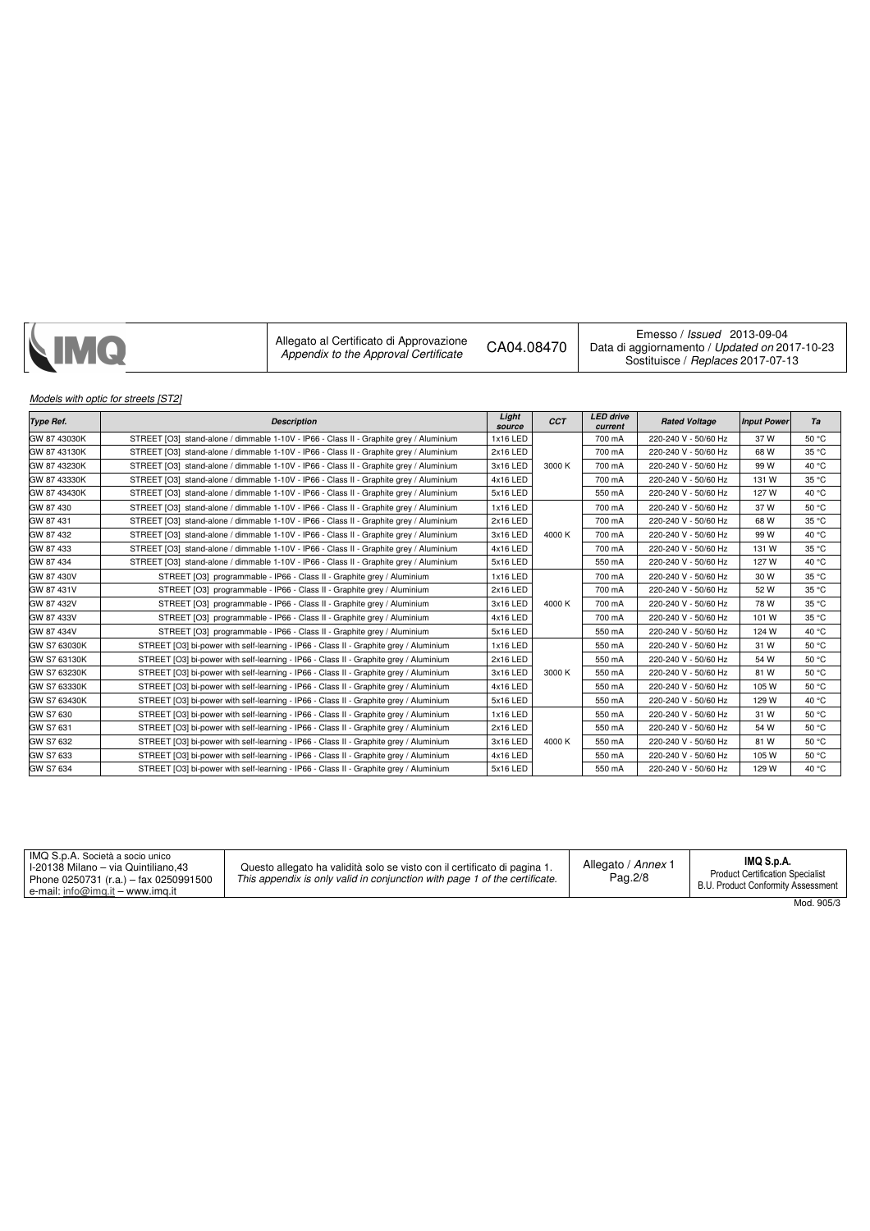| <b>NMQ</b> | Allegato al Certificato di Approvazione<br>Appendix to the Approval Certificate | CA04.08470 | Emesso / Issued 2013-09-04<br>Data di aggiornamento / Updated on 2017-10-23<br>Sostituisce / Replaces 2017-07-13 |
|------------|---------------------------------------------------------------------------------|------------|------------------------------------------------------------------------------------------------------------------|
|------------|---------------------------------------------------------------------------------|------------|------------------------------------------------------------------------------------------------------------------|

## Models with optic for streets [ST2]

| <b>Type Ref.</b> | <b>Description</b>                                                                     | Light<br>source | <b>CCT</b> | <b>LED</b> drive<br>current | <b>Rated Voltage</b> | <b>Input Power</b> | Ta    |
|------------------|----------------------------------------------------------------------------------------|-----------------|------------|-----------------------------|----------------------|--------------------|-------|
| GW 87 43030K     | STREET [O3] stand-alone / dimmable 1-10V - IP66 - Class II - Graphite grey / Aluminium | 1x16 LED        |            | 700 mA                      | 220-240 V - 50/60 Hz | 37W                | 50 °C |
| GW 87 43130K     | STREET [O3] stand-alone / dimmable 1-10V - IP66 - Class II - Graphite grey / Aluminium | 2x16 LED        |            | 700 mA                      | 220-240 V - 50/60 Hz | 68 W               | 35 °C |
| GW 87 43230K     | STREET [O3] stand-alone / dimmable 1-10V - IP66 - Class II - Graphite grey / Aluminium | 3x16 LED        | 3000 K     | 700 mA                      | 220-240 V - 50/60 Hz | 99 W               | 40 °C |
| GW 87 43330K     | STREET [O3] stand-alone / dimmable 1-10V - IP66 - Class II - Graphite grey / Aluminium | 4x16 LED        |            | 700 mA                      | 220-240 V - 50/60 Hz | 131 W              | 35 °C |
| GW 87 43430K     | STREET [O3] stand-alone / dimmable 1-10V - IP66 - Class II - Graphite grey / Aluminium | 5x16 LED        |            | 550 mA                      | 220-240 V - 50/60 Hz | 127 W              | 40 °C |
| GW 87 430        | STREET [O3] stand-alone / dimmable 1-10V - IP66 - Class II - Graphite grey / Aluminium | 1x16 LED        |            | 700 mA                      | 220-240 V - 50/60 Hz | 37 W               | 50 °C |
| GW 87 431        | STREET [O3] stand-alone / dimmable 1-10V - IP66 - Class II - Graphite grey / Aluminium | 2x16 LED        |            | 700 mA                      | 220-240 V - 50/60 Hz | 68 W               | 35 °C |
| GW 87 432        | STREET [O3] stand-alone / dimmable 1-10V - IP66 - Class II - Graphite grey / Aluminium | 3x16 LED        | 4000 K     | 700 mA                      | 220-240 V - 50/60 Hz | 99 W               | 40 °C |
| GW 87 433        | STREET [O3] stand-alone / dimmable 1-10V - IP66 - Class II - Graphite grey / Aluminium | 4x16 LED        |            | 700 mA                      | 220-240 V - 50/60 Hz | 131 W              | 35 °C |
| GW 87 434        | STREET [O3] stand-alone / dimmable 1-10V - IP66 - Class II - Graphite grey / Aluminium | 5x16 LED        |            | 550 mA                      | 220-240 V - 50/60 Hz | 127W               | 40 °C |
| GW 87 430V       | STREET [O3] programmable - IP66 - Class II - Graphite grey / Aluminium                 | 1x16 LED        |            | 700 mA                      | 220-240 V - 50/60 Hz | 30 W               | 35 °C |
| GW 87 431V       | STREET [O3] programmable - IP66 - Class II - Graphite grey / Aluminium                 | 2x16 LED        |            | 700 mA                      | 220-240 V - 50/60 Hz | 52 W               | 35 °C |
| GW 87 432V       | STREET [O3] programmable - IP66 - Class II - Graphite grey / Aluminium                 | 3x16 LED        | 4000 K     | 700 mA                      | 220-240 V - 50/60 Hz | 78 W               | 35 °C |
| GW 87 433V       | STREET [O3] programmable - IP66 - Class II - Graphite grey / Aluminium                 | 4x16 LED        |            | 700 mA                      | 220-240 V - 50/60 Hz | 101 W              | 35 °C |
| GW 87 434V       | STREET [O3] programmable - IP66 - Class II - Graphite grey / Aluminium                 | 5x16 LED        |            | 550 mA                      | 220-240 V - 50/60 Hz | 124 W              | 40 °C |
| GW S7 63030K     | STREET [O3] bi-power with self-learning - IP66 - Class II - Graphite grey / Aluminium  | 1x16 LED        |            | 550 mA                      | 220-240 V - 50/60 Hz | 31 W               | 50 °C |
| GW S7 63130K     | STREET [O3] bi-power with self-learning - IP66 - Class II - Graphite grey / Aluminium  | 2x16 LED        |            | 550 mA                      | 220-240 V - 50/60 Hz | 54 W               | 50 °C |
| GW S7 63230K     | STREET [O3] bi-power with self-learning - IP66 - Class II - Graphite grey / Aluminium  | 3x16 LED        | 3000 K     | 550 mA                      | 220-240 V - 50/60 Hz | 81W                | 50 °C |
| GW S7 63330K     | STREET [O3] bi-power with self-learning - IP66 - Class II - Graphite grey / Aluminium  | 4x16 LED        |            | 550 mA                      | 220-240 V - 50/60 Hz | 105 W              | 50 °C |
| GW S7 63430K     | STREET [O3] bi-power with self-learning - IP66 - Class II - Graphite grey / Aluminium  | 5x16 LED        |            | 550 mA                      | 220-240 V - 50/60 Hz | 129 W              | 40 °C |
| GW S7 630        | STREET [O3] bi-power with self-learning - IP66 - Class II - Graphite grey / Aluminium  | 1x16 LED        |            | 550 mA                      | 220-240 V - 50/60 Hz | 31 W               | 50 °C |
| GW S7 631        | STREET [O3] bi-power with self-learning - IP66 - Class II - Graphite grey / Aluminium  | 2x16 LED        |            | 550 mA                      | 220-240 V - 50/60 Hz | 54 W               | 50 °C |
| GW S7 632        | STREET [O3] bi-power with self-learning - IP66 - Class II - Graphite grey / Aluminium  | 3x16 LED        | 4000 K     | 550 mA                      | 220-240 V - 50/60 Hz | 81W                | 50 °C |
| GW S7 633        | STREET [O3] bi-power with self-learning - IP66 - Class II - Graphite grey / Aluminium  | 4x16 LED        |            | 550 mA                      | 220-240 V - 50/60 Hz | 105 W              | 50 °C |
| GW S7 634        | STREET [O3] bi-power with self-learning - IP66 - Class II - Graphite grey / Aluminium  | 5x16 LED        |            | 550 mA                      | 220-240 V - 50/60 Hz | 129 W              | 40 °C |

| IMQ S.p.A. Società a socio unico<br><sup>1</sup> I-20138 Milano – via Quintiliano.43<br>Phone 0250731 (r.a.) - fax 0250991500<br>e-mail: info@img.it – www.img.it | Questo allegato ha validità solo se visto con il certificato di pagina 1.<br>This appendix is only valid in conjunction with page 1 of the certificate. | Allegato / Annex 1<br>Pag. 2/8 | IMQ S.p.A.<br><b>Product Certification Specialist</b><br><b>B.U. Product Conformity Assessment</b> |
|-------------------------------------------------------------------------------------------------------------------------------------------------------------------|---------------------------------------------------------------------------------------------------------------------------------------------------------|--------------------------------|----------------------------------------------------------------------------------------------------|
|                                                                                                                                                                   |                                                                                                                                                         |                                | ------                                                                                             |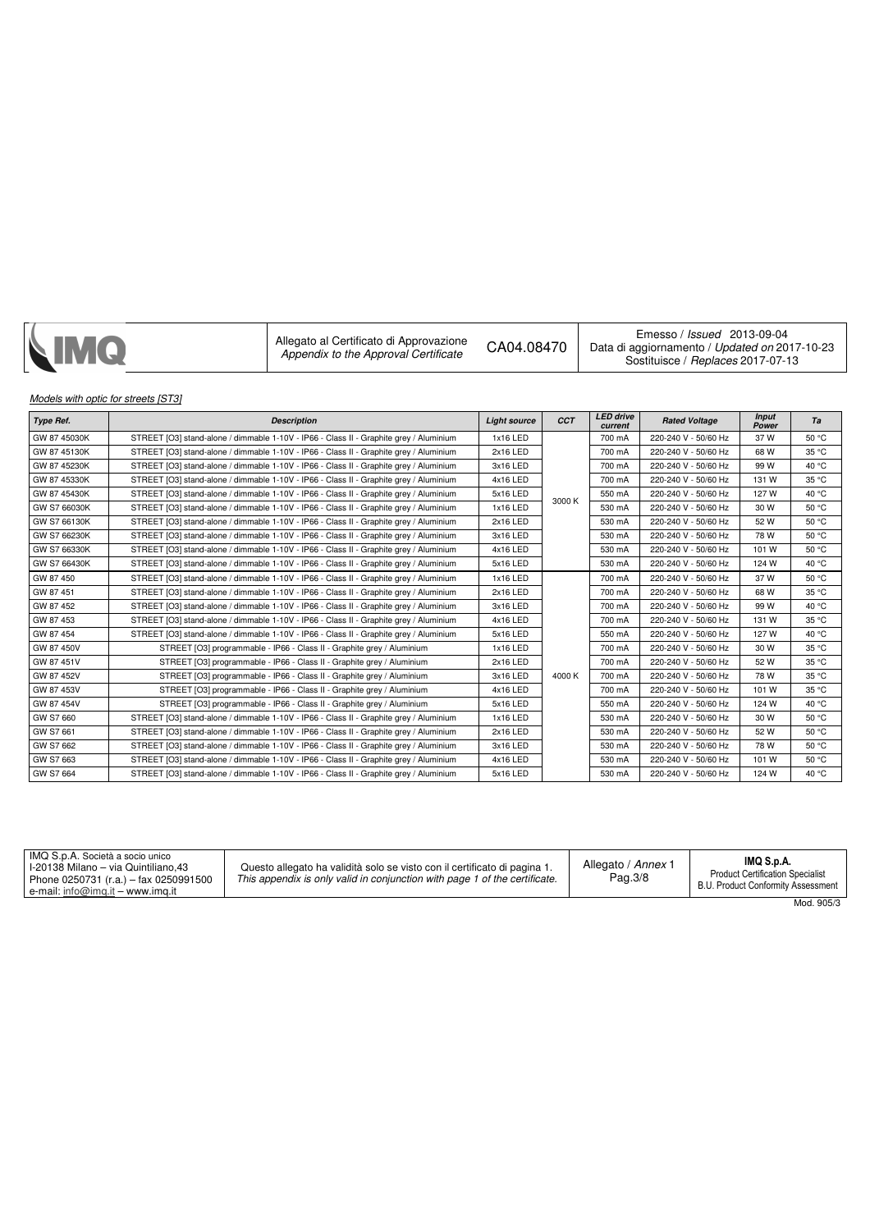| <b>NMQ</b> | Allegato al Certificato di Approvazione<br>CA04.08470<br>Appendix to the Approval Certificate | Emesso / Issued 2013-09-04<br>Data di aggiornamento / Updated on 2017-10-23<br>Sostituisce / Replaces 2017-07-13 |
|------------|-----------------------------------------------------------------------------------------------|------------------------------------------------------------------------------------------------------------------|
|------------|-----------------------------------------------------------------------------------------------|------------------------------------------------------------------------------------------------------------------|

## Models with optic for streets [ST3]

| <b>Type Ref.</b> | <b>Description</b>                                                                     | <b>Light source</b> | <b>CCT</b> | <b>LED</b> drive<br>current | <b>Rated Voltage</b> | <b>Input</b><br>Power | Ta    |
|------------------|----------------------------------------------------------------------------------------|---------------------|------------|-----------------------------|----------------------|-----------------------|-------|
| GW 87 45030K     | STREET [O3] stand-alone / dimmable 1-10V - IP66 - Class II - Graphite grey / Aluminium | 1x16 LED            |            | 700 mA                      | 220-240 V - 50/60 Hz | 37W                   | 50 °C |
| GW 87 45130K     | STREET [O3] stand-alone / dimmable 1-10V - IP66 - Class II - Graphite grey / Aluminium | 2x16 LED            |            | 700 mA                      | 220-240 V - 50/60 Hz | 68 W                  | 35 °C |
| GW 87 45230K     | STREET [O3] stand-alone / dimmable 1-10V - IP66 - Class II - Graphite grey / Aluminium | 3x16 LED            |            | 700 mA                      | 220-240 V - 50/60 Hz | 99 W                  | 40 °C |
| GW 87 45330K     | STREET [O3] stand-alone / dimmable 1-10V - IP66 - Class II - Graphite grey / Aluminium | 4x16 LED            |            | 700 mA                      | 220-240 V - 50/60 Hz | 131 W                 | 35 °C |
| GW 87 45430K     | STREET [O3] stand-alone / dimmable 1-10V - IP66 - Class II - Graphite grey / Aluminium | 5x16 LED            | 3000 K     | 550 mA                      | 220-240 V - 50/60 Hz | 127 W                 | 40 °C |
| GW S7 66030K     | STREET [O3] stand-alone / dimmable 1-10V - IP66 - Class II - Graphite grey / Aluminium | 1x16 LED            |            | 530 mA                      | 220-240 V - 50/60 Hz | 30 W                  | 50 °C |
| GW S7 66130K     | STREET [O3] stand-alone / dimmable 1-10V - IP66 - Class II - Graphite grey / Aluminium | 2x16 LED            |            | 530 mA                      | 220-240 V - 50/60 Hz | 52W                   | 50 °C |
| GW S7 66230K     | STREET [O3] stand-alone / dimmable 1-10V - IP66 - Class II - Graphite grey / Aluminium | 3x16 LED            |            | 530 mA                      | 220-240 V - 50/60 Hz | 78 W                  | 50 °C |
| GW S7 66330K     | STREET [O3] stand-alone / dimmable 1-10V - IP66 - Class II - Graphite grey / Aluminium | 4x16 LED            |            | 530 mA                      | 220-240 V - 50/60 Hz | 101 W                 | 50 °C |
| GW S7 66430K     | STREET [O3] stand-alone / dimmable 1-10V - IP66 - Class II - Graphite grey / Aluminium | 5x16 LED            |            | 530 mA                      | 220-240 V - 50/60 Hz | 124 W                 | 40 °C |
| GW 87 450        | STREET [O3] stand-alone / dimmable 1-10V - IP66 - Class II - Graphite grey / Aluminium | 1x16 LED            |            | 700 mA                      | 220-240 V - 50/60 Hz | 37W                   | 50 °C |
| GW 87 451        | STREET [O3] stand-alone / dimmable 1-10V - IP66 - Class II - Graphite grey / Aluminium | 2x16 LED            |            | 700 mA                      | 220-240 V - 50/60 Hz | 68 W                  | 35 °C |
| GW 87 452        | STREET [O3] stand-alone / dimmable 1-10V - IP66 - Class II - Graphite grey / Aluminium | 3x16 LED            |            | 700 mA                      | 220-240 V - 50/60 Hz | 99 W                  | 40 °C |
| GW 87 453        | STREET [O3] stand-alone / dimmable 1-10V - IP66 - Class II - Graphite grey / Aluminium | 4x16 LED            |            | 700 mA                      | 220-240 V - 50/60 Hz | 131 W                 | 35 °C |
| GW 87 454        | STREET [O3] stand-alone / dimmable 1-10V - IP66 - Class II - Graphite grey / Aluminium | 5x16 LED            |            | 550 mA                      | 220-240 V - 50/60 Hz | 127 W                 | 40 °C |
| GW 87 450V       | STREET [O3] programmable - IP66 - Class II - Graphite grey / Aluminium                 | 1x16 LED            |            | 700 mA                      | 220-240 V - 50/60 Hz | 30 W                  | 35 °C |
| GW 87 451V       | STREET [O3] programmable - IP66 - Class II - Graphite grey / Aluminium                 | 2x16 LED            |            | 700 mA                      | 220-240 V - 50/60 Hz | 52 W                  | 35 °C |
| GW 87 452V       | STREET [O3] programmable - IP66 - Class II - Graphite grey / Aluminium                 | 3x16 LED            | 4000 K     | 700 mA                      | 220-240 V - 50/60 Hz | 78 W                  | 35 °C |
| GW 87 453V       | STREET [O3] programmable - IP66 - Class II - Graphite grey / Aluminium                 | 4x16 LED            |            | 700 mA                      | 220-240 V - 50/60 Hz | 101 W                 | 35 °C |
| GW 87 454V       | STREET [O3] programmable - IP66 - Class II - Graphite grey / Aluminium                 | 5x16 LED            |            | 550 mA                      | 220-240 V - 50/60 Hz | 124 W                 | 40 °C |
| GW S7 660        | STREET [O3] stand-alone / dimmable 1-10V - IP66 - Class II - Graphite grey / Aluminium | 1x16 LED            |            | 530 mA                      | 220-240 V - 50/60 Hz | 30 W                  | 50 °C |
| GW S7 661        | STREET [O3] stand-alone / dimmable 1-10V - IP66 - Class II - Graphite grey / Aluminium | 2x16 LED            |            | 530 mA                      | 220-240 V - 50/60 Hz | 52 W                  | 50 °C |
| GW S7 662        | STREET [O3] stand-alone / dimmable 1-10V - IP66 - Class II - Graphite grey / Aluminium | 3x16 LED            |            | 530 mA                      | 220-240 V - 50/60 Hz | 78 W                  | 50 °C |
| GW S7 663        | STREET [O3] stand-alone / dimmable 1-10V - IP66 - Class II - Graphite grey / Aluminium | 4x16 LED            |            | 530 mA                      | 220-240 V - 50/60 Hz | 101 W                 | 50 °C |
| GW S7 664        | STREET [O3] stand-alone / dimmable 1-10V - IP66 - Class II - Graphite grey / Aluminium | 5x16 LED            |            | 530 mA                      | 220-240 V - 50/60 Hz | 124 W                 | 40 °C |

| IMQ S.p.A. Società a socio unico<br>I-20138 Milano – via Quintiliano.43<br>Phone 0250731 (r.a.) - fax 0250991500<br>e-mail: info@img.it – www.img.it | Questo allegato ha validità solo se visto con il certificato di pagina 1.<br>This appendix is only valid in conjunction with page 1 of the certificate. | Allegato / Annex 1<br>Pag.3/8 | IMQ S.p.A.<br><b>Product Certification Specialist</b><br>B.U. Product Conformity Assessment |
|------------------------------------------------------------------------------------------------------------------------------------------------------|---------------------------------------------------------------------------------------------------------------------------------------------------------|-------------------------------|---------------------------------------------------------------------------------------------|
|                                                                                                                                                      |                                                                                                                                                         |                               | $-222$                                                                                      |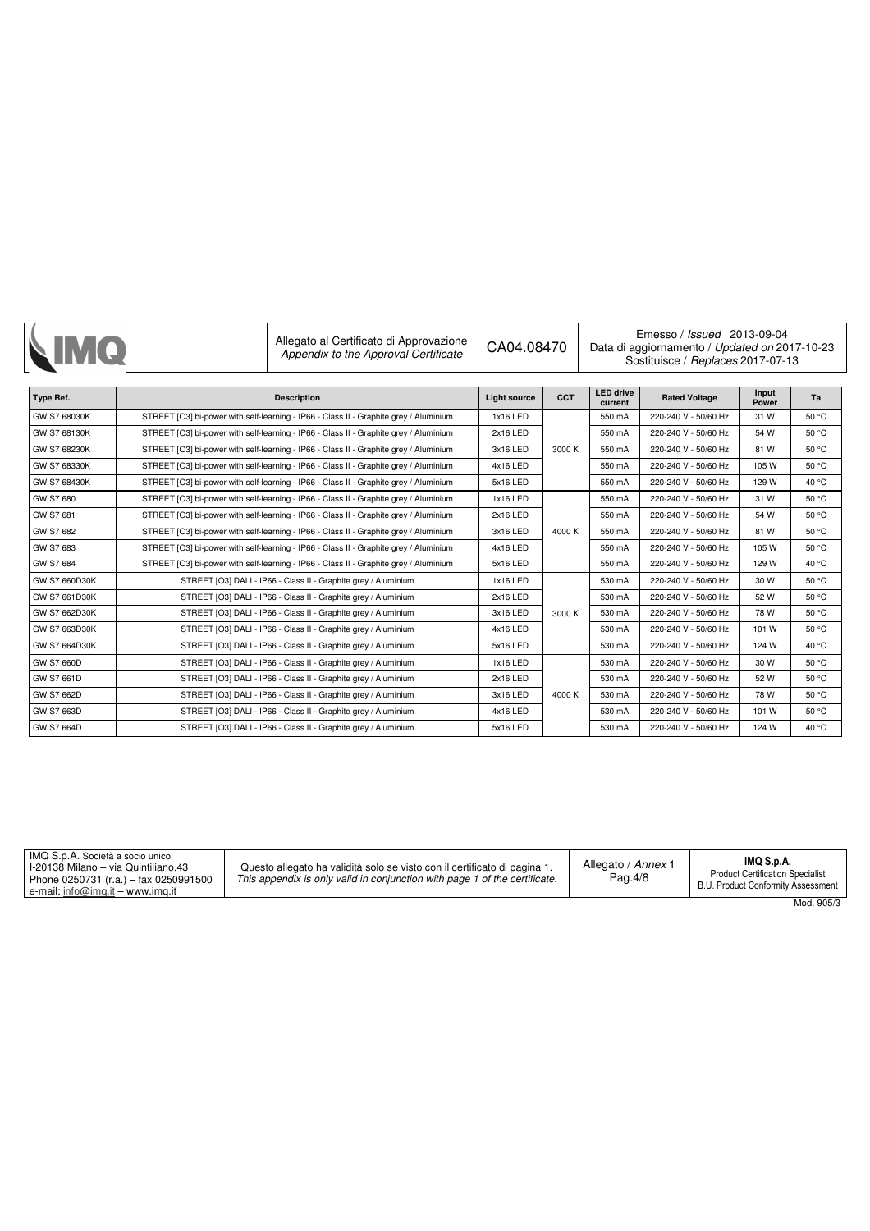|                   | Allegato al Certificato di Approvazione<br>Appendix to the Approval Certificate       | CA04.08470          |            | Emesso / <i>Issued</i> 2013-09-04<br>Data di aggiornamento / Updated on 2017-10-23<br>Sostituisce / Replaces 2017-07-13 |                      |                |       |
|-------------------|---------------------------------------------------------------------------------------|---------------------|------------|-------------------------------------------------------------------------------------------------------------------------|----------------------|----------------|-------|
| Type Ref.         | <b>Description</b>                                                                    | <b>Light source</b> | <b>CCT</b> | <b>LED drive</b><br>current                                                                                             | <b>Rated Voltage</b> | Input<br>Power | Ta    |
| GW S7 68030K      | STREET [O3] bi-power with self-learning - IP66 - Class II - Graphite grey / Aluminium | 1x16 LED            |            | 550 mA                                                                                                                  | 220-240 V - 50/60 Hz | 31 W           | 50 °C |
| GW S7 68130K      | STREET [O3] bi-power with self-learning - IP66 - Class II - Graphite grey / Aluminium | 2x16 LED            |            | 550 mA                                                                                                                  | 220-240 V - 50/60 Hz | 54 W           | 50 °C |
| GW S7 68230K      | STREET [O3] bi-power with self-learning - IP66 - Class II - Graphite grey / Aluminium | 3x16 LED            | 3000 K     | 550 mA                                                                                                                  | 220-240 V - 50/60 Hz | 81W            | 50 °C |
| GW S7 68330K      | STREET [O3] bi-power with self-learning - IP66 - Class II - Graphite grey / Aluminium | 4x16 LED            |            | 550 mA                                                                                                                  | 220-240 V - 50/60 Hz | 105 W          | 50 °C |
| GW S7 68430K      | STREET [O3] bi-power with self-learning - IP66 - Class II - Graphite grey / Aluminium | 5x16 LED            |            | 550 mA                                                                                                                  | 220-240 V - 50/60 Hz | 129 W          | 40 °C |
| GW S7 680         | STREET [O3] bi-power with self-learning - IP66 - Class II - Graphite grey / Aluminium | 1x16 LED            |            | 550 mA                                                                                                                  | 220-240 V - 50/60 Hz | 31 W           | 50 °C |
| GW S7 681         | STREET [O3] bi-power with self-learning - IP66 - Class II - Graphite grey / Aluminium | 2x16 LED            |            | 550 mA                                                                                                                  | 220-240 V - 50/60 Hz | 54 W           | 50 °C |
| GW S7 682         | STREET [O3] bi-power with self-learning - IP66 - Class II - Graphite grey / Aluminium |                     | 4000 K     | 550 mA                                                                                                                  | 220-240 V - 50/60 Hz | 81W            | 50 °C |
| GW S7 683         | STREET [O3] bi-power with self-learning - IP66 - Class II - Graphite grey / Aluminium | 4x16 LED            |            | 550 mA                                                                                                                  | 220-240 V - 50/60 Hz | 105 W          | 50 °C |
| GW S7 684         | STREET [O3] bi-power with self-learning - IP66 - Class II - Graphite grey / Aluminium | 5x16 LED            |            | 550 mA                                                                                                                  | 220-240 V - 50/60 Hz | 129 W          | 40 °C |
| GW S7 660D30K     | STREET [O3] DALI - IP66 - Class II - Graphite grey / Aluminium                        | 1x16 LED            |            | 530 mA                                                                                                                  | 220-240 V - 50/60 Hz | 30 W           | 50 °C |
| GW S7 661D30K     | STREET [O3] DALI - IP66 - Class II - Graphite grey / Aluminium                        | 2x16 LED            |            | 530 mA                                                                                                                  | 220-240 V - 50/60 Hz | 52 W           | 50 °C |
| GW S7 662D30K     | STREET [O3] DALI - IP66 - Class II - Graphite grey / Aluminium                        | 3x16 LED            | 3000 K     | 530 mA                                                                                                                  | 220-240 V - 50/60 Hz | 78 W           | 50 °C |
| GW S7 663D30K     | STREET [O3] DALI - IP66 - Class II - Graphite grey / Aluminium                        | 4x16 LED            |            | 530 mA                                                                                                                  | 220-240 V - 50/60 Hz | 101 W          | 50 °C |
| GW S7 664D30K     | STREET [O3] DALI - IP66 - Class II - Graphite grey / Aluminium                        | 5x16 LED            |            | 530 mA                                                                                                                  | 220-240 V - 50/60 Hz | 124 W          | 40 °C |
| <b>GW S7 660D</b> | STREET [O3] DALI - IP66 - Class II - Graphite grey / Aluminium                        | 1x16 LED            |            | 530 mA                                                                                                                  | 220-240 V - 50/60 Hz | 30 W           | 50 °C |
| GW S7 661D        | STREET [O3] DALI - IP66 - Class II - Graphite grey / Aluminium                        | 2x16 LED            |            | 530 mA                                                                                                                  | 220-240 V - 50/60 Hz | 52 W           | 50 °C |
| GW S7 662D        | STREET [O3] DALI - IP66 - Class II - Graphite grey / Aluminium                        | 3x16 LED            | 4000 K     | 530 mA                                                                                                                  | 220-240 V - 50/60 Hz | 78 W           | 50 °C |
| GW S7 663D        | STREET [O3] DALI - IP66 - Class II - Graphite grey / Aluminium                        | 4x16 LED            |            | 530 mA                                                                                                                  | 220-240 V - 50/60 Hz | 101 W          | 50 °C |
| GW S7 664D        | STREET [O3] DALI - IP66 - Class II - Graphite grey / Aluminium                        | 5x16 LED            |            | 530 mA                                                                                                                  | 220-240 V - 50/60 Hz | 124 W          | 40 °C |

| IMQ S.p.A. Società a socio unico<br>I-20138 Milano – via Quintiliano.43<br>Phone 0250731 (r.a.) - fax 0250991500<br>e-mail: info@imq.it – www.imq.it | Questo allegato ha validità solo se visto con il certificato di pagina 1.<br>This appendix is only valid in conjunction with page 1 of the certificate. | Allegato / Annex 1<br>Pag.4/8 | IMQ S.p.A.<br><b>Product Certification Specialist</b><br>B.U. Product Conformity Assessment |
|------------------------------------------------------------------------------------------------------------------------------------------------------|---------------------------------------------------------------------------------------------------------------------------------------------------------|-------------------------------|---------------------------------------------------------------------------------------------|
|                                                                                                                                                      |                                                                                                                                                         |                               | $MACA$ $QOE/2$                                                                              |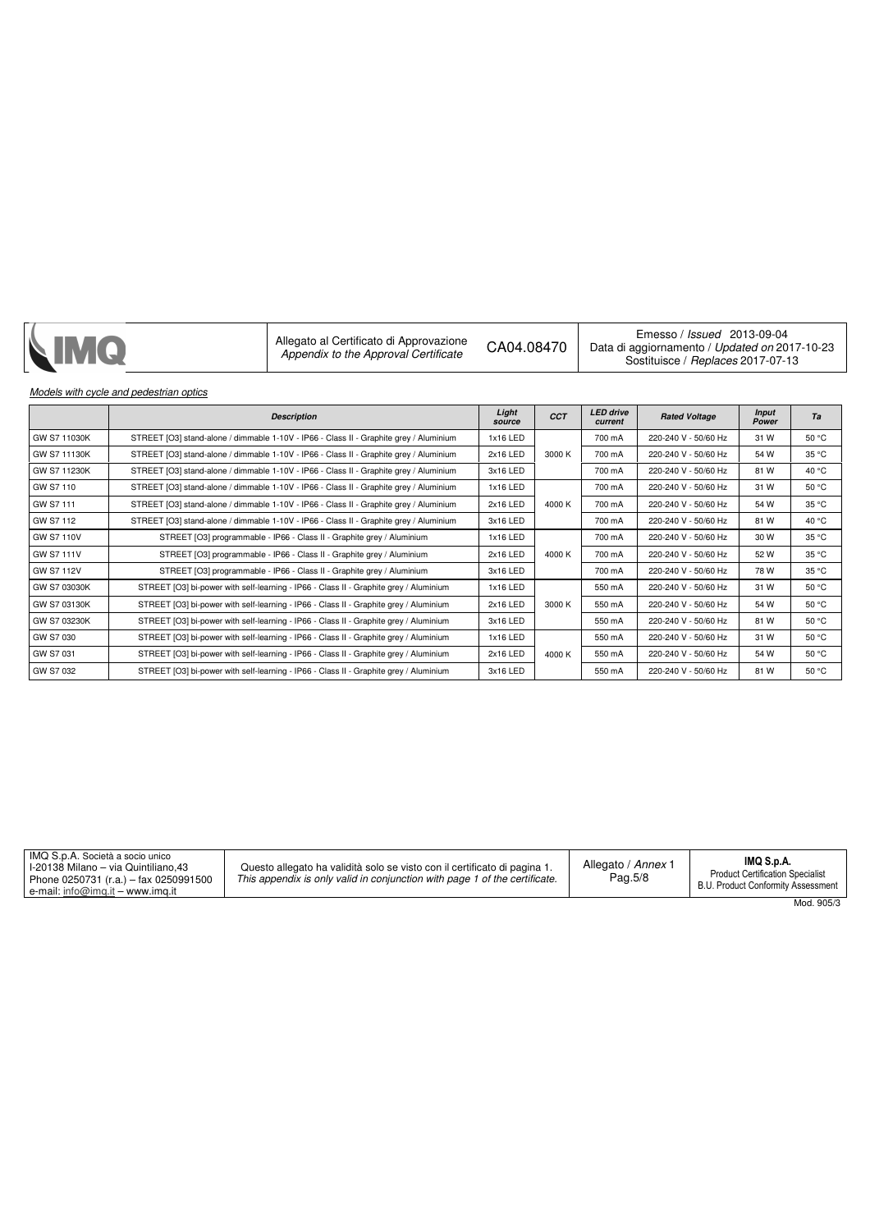| NIMQ | Allegato al Certificato di Approvazione<br>Appendix to the Approval Certificate | CA04.08470 | Emesso / <i>Issued</i> 2013-09-04<br>Data di aggiornamento / Updated on 2017-10-23<br>Sostituisce / Replaces 2017-07-13 |
|------|---------------------------------------------------------------------------------|------------|-------------------------------------------------------------------------------------------------------------------------|
|------|---------------------------------------------------------------------------------|------------|-------------------------------------------------------------------------------------------------------------------------|

## Models with cycle and pedestrian optics

|                   | <b>Description</b>                                                                     | Light<br>source | <b>CCT</b> | <b>LED</b> drive<br>current | <b>Rated Voltage</b> | <b>Input</b><br>Power | Ta    |
|-------------------|----------------------------------------------------------------------------------------|-----------------|------------|-----------------------------|----------------------|-----------------------|-------|
| GW S7 11030K      | STREET [O3] stand-alone / dimmable 1-10V - IP66 - Class II - Graphite grey / Aluminium | 1x16 LED        |            | 700 mA                      | 220-240 V - 50/60 Hz | 31 W                  | 50 °C |
| GW S7 11130K      | STREET [O3] stand-alone / dimmable 1-10V - IP66 - Class II - Graphite grey / Aluminium | 2x16 LED        | 3000 K     | 700 mA                      | 220-240 V - 50/60 Hz | 54 W                  | 35 °C |
| GW S7 11230K      | STREET [O3] stand-alone / dimmable 1-10V - IP66 - Class II - Graphite grey / Aluminium | 3x16 LED        |            | 700 mA                      | 220-240 V - 50/60 Hz | 81W                   | 40 °C |
| GW S7 110         | STREET [O3] stand-alone / dimmable 1-10V - IP66 - Class II - Graphite grey / Aluminium | 1x16 LED        |            | 700 mA                      | 220-240 V - 50/60 Hz | 31 W                  | 50 °C |
| GW S7 111         | STREET [O3] stand-alone / dimmable 1-10V - IP66 - Class II - Graphite grey / Aluminium | 2x16 LED        | 4000 K     | 700 mA                      | 220-240 V - 50/60 Hz | 54 W                  | 35 °C |
| GW S7 112         | STREET [O3] stand-alone / dimmable 1-10V - IP66 - Class II - Graphite grey / Aluminium | 3x16 LED        |            | 700 mA                      | 220-240 V - 50/60 Hz | 81 W                  | 40 °C |
| <b>GW S7 110V</b> | STREET [O3] programmable - IP66 - Class II - Graphite grey / Aluminium                 | 1x16 LED        |            | 700 mA                      | 220-240 V - 50/60 Hz | 30 W                  | 35 °C |
| <b>GW S7 111V</b> | STREET [O3] programmable - IP66 - Class II - Graphite grey / Aluminium                 | 2x16 LED        | 4000 K     | 700 mA                      | 220-240 V - 50/60 Hz | 52 W                  | 35 °C |
| <b>GW S7 112V</b> | STREET [O3] programmable - IP66 - Class II - Graphite grey / Aluminium                 | 3x16 LED        |            |                             | 220-240 V - 50/60 Hz | 78 W                  | 35 °C |
| GW S7 03030K      | STREET [O3] bi-power with self-learning - IP66 - Class II - Graphite grey / Aluminium  | 1x16 LED        |            | 550 mA                      | 220-240 V - 50/60 Hz | 31 W                  | 50 °C |
| GW S7 03130K      | STREET [O3] bi-power with self-learning - IP66 - Class II - Graphite grey / Aluminium  | 2x16 LED        | 3000 K     | 550 mA                      | 220-240 V - 50/60 Hz | 54 W                  | 50 °C |
| GW S7 03230K      | STREET [O3] bi-power with self-learning - IP66 - Class II - Graphite grey / Aluminium  | 3x16 LED        |            |                             | 220-240 V - 50/60 Hz | 81W                   | 50 °C |
| GW S7 030         | STREET [O3] bi-power with self-learning - IP66 - Class II - Graphite grey / Aluminium  | 1x16 LED        |            | 550 mA                      | 220-240 V - 50/60 Hz | 31 W                  | 50 °C |
| GW S7 031         | STREET [O3] bi-power with self-learning - IP66 - Class II - Graphite grey / Aluminium  | 2x16 LED        | 4000 K     | 550 mA                      | 220-240 V - 50/60 Hz | 54 W                  | 50 °C |
| GW S7 032         | STREET [O3] bi-power with self-learning - IP66 - Class II - Graphite grey / Aluminium  | 3x16 LED        |            | 550 mA                      | 220-240 V - 50/60 Hz | 81W                   | 50 °C |

| IMQ S.p.A. Società a socio unico<br><sup>1</sup> I-20138 Milano – via Quintiliano.43<br>Phone 0250731 (r.a.) - fax 0250991500<br>e-mail: info@img.it – www.img.it | Questo allegato ha validità solo se visto con il certificato di pagina 1.<br>This appendix is only valid in conjunction with page 1 of the certificate. | Allegato / Annex 1<br>Pag.5/8 | IMQ S.p.A.<br><b>Product Certification Specialist</b><br>B.U. Product Conformity Assessment |
|-------------------------------------------------------------------------------------------------------------------------------------------------------------------|---------------------------------------------------------------------------------------------------------------------------------------------------------|-------------------------------|---------------------------------------------------------------------------------------------|
|                                                                                                                                                                   |                                                                                                                                                         |                               | $Mod$ 905/3                                                                                 |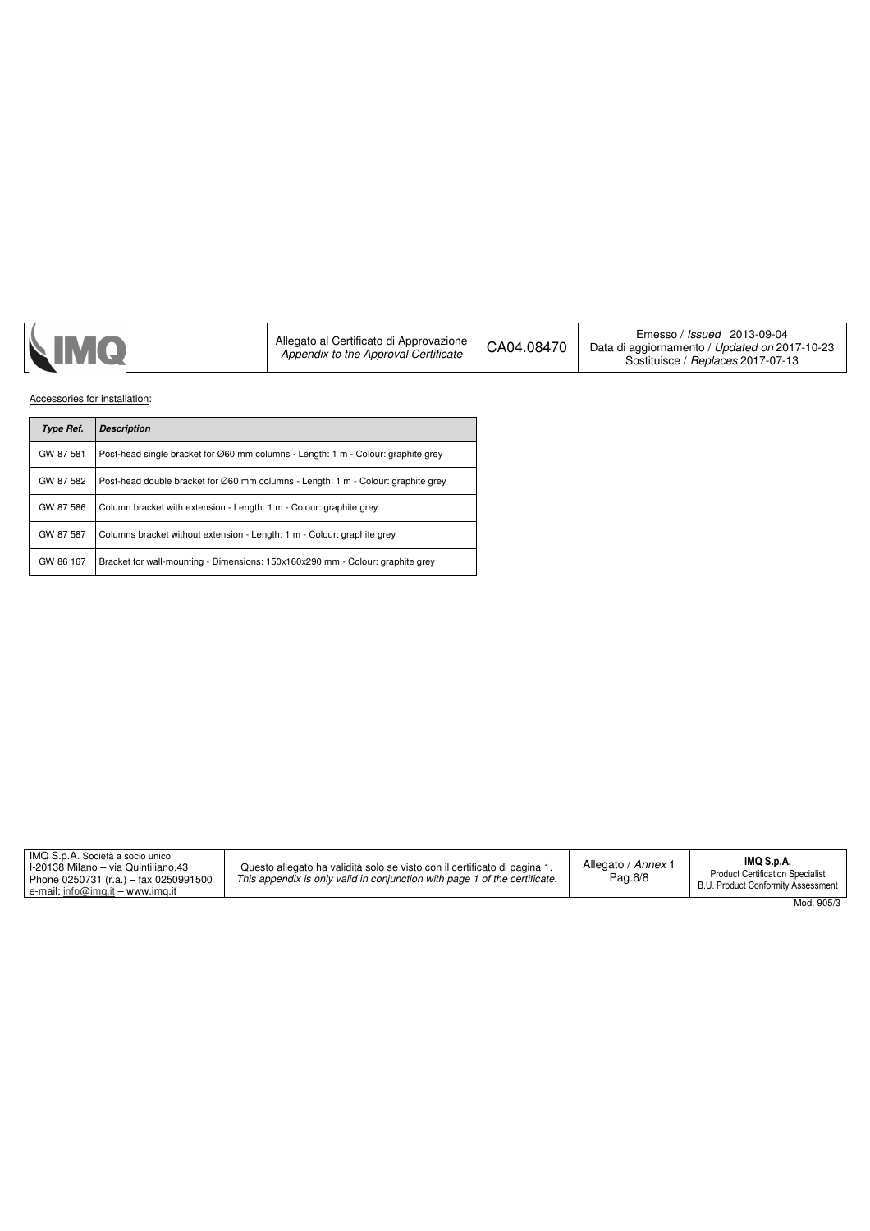Accessories for installation:

| <b>Type Ref.</b> | <b>Description</b>                                                                |
|------------------|-----------------------------------------------------------------------------------|
| GW 87 581        | Post-head single bracket for Ø60 mm columns - Length: 1 m - Colour: graphite grey |
| GW 87 582        | Post-head double bracket for Ø60 mm columns - Length: 1 m - Colour: graphite grey |
| GW 87 586        | Column bracket with extension - Length: 1 m - Colour: graphite grey               |
| GW 87 587        | Columns bracket without extension - Length: 1 m - Colour: graphite grey           |
| GW 86 167        | Bracket for wall-mounting - Dimensions: 150x160x290 mm - Colour: graphite grey    |

| IMQ S.p.A. Società a socio unico<br>I-20138 Milano – via Quintiliano.43<br>Phone 0250731 (r.a.) - fax 0250991500<br>e-mail: info@img.it – www.img.it | Questo allegato ha validità solo se visto con il certificato di pagina 1.<br>This appendix is only valid in conjunction with page 1 of the certificate. | Allegato / Annex 1<br>Pag.6/8 | IMQ S.p.A.<br><b>Product Certification Specialist</b><br>B.U. Product Conformity Assessment |
|------------------------------------------------------------------------------------------------------------------------------------------------------|---------------------------------------------------------------------------------------------------------------------------------------------------------|-------------------------------|---------------------------------------------------------------------------------------------|
|                                                                                                                                                      |                                                                                                                                                         |                               | Mod. 905/3                                                                                  |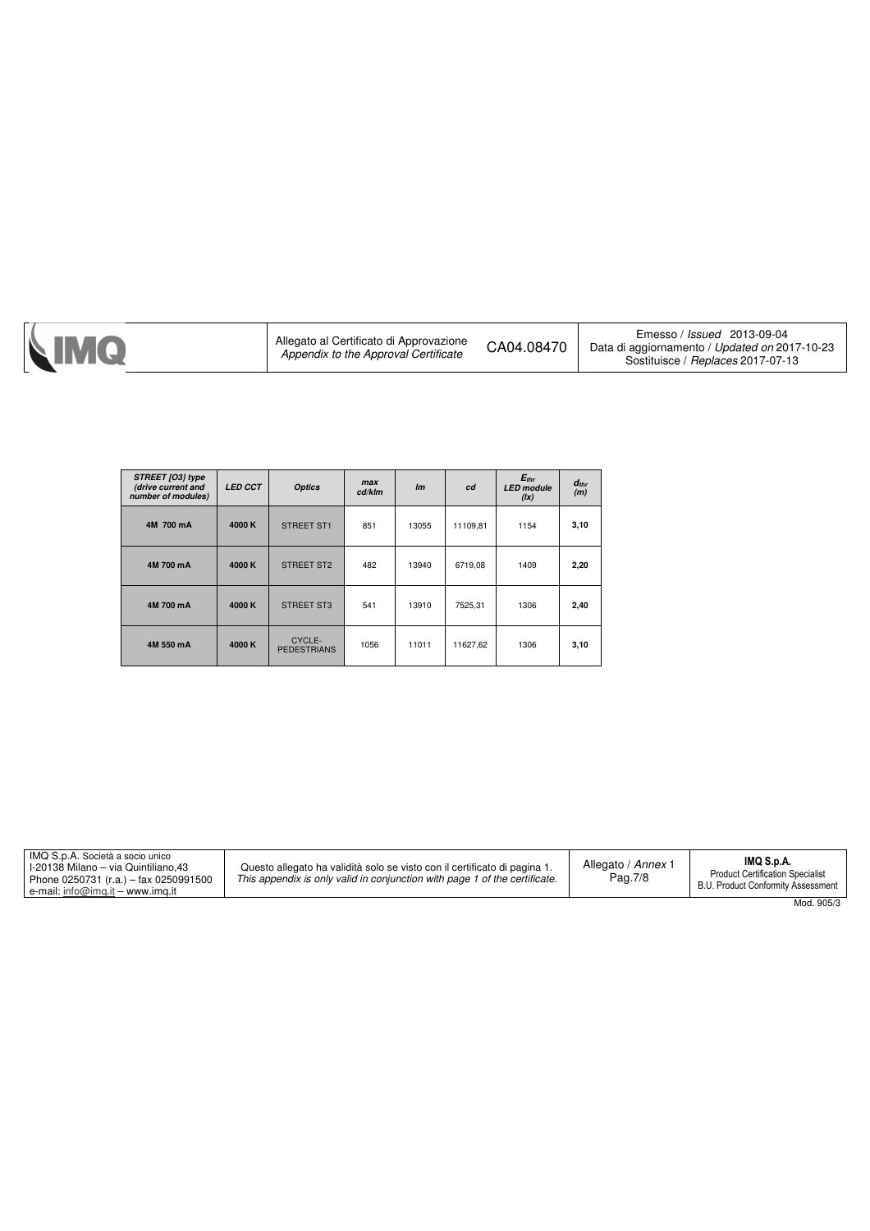| STREET [O3] type<br>(drive current and<br>number of modules) | <b>LED CCT</b> | <b>Optics</b>                | max<br>cd/klm | Im    | cd       | $E_{thr}$<br><b>LED</b> module<br>(1x) | $d_{thr}$<br>(m) |
|--------------------------------------------------------------|----------------|------------------------------|---------------|-------|----------|----------------------------------------|------------------|
| 4M 700 mA                                                    | 4000 K         | STREET ST1                   | 851           | 13055 | 11109,81 | 1154                                   | 3,10             |
| 4M 700 mA                                                    | 4000 K         | STREET ST2                   | 482           | 13940 | 6719,08  | 1409                                   | 2,20             |
| 4M 700 mA                                                    | 4000 K         | <b>STREET ST3</b>            | 541           | 13910 | 7525,31  | 1306                                   | 2,40             |
| 4M 550 mA                                                    | 4000 K         | CYCLE-<br><b>PEDESTRIANS</b> | 1056          | 11011 | 11627,62 | 1306                                   | 3,10             |

| IMQ S.p.A. Società a socio unico<br>1-20138 Milano – via Quintiliano.43<br>Phone 0250731 (r.a.) – fax 0250991500<br>e-mail: info@img.it – www.img.it | Questo allegato ha validità solo se visto con il certificato di pagina 1.<br>This appendix is only valid in conjunction with page 1 of the certificate. | Allegato / Annex 1<br>Pag.7/8 | IMQ S.p.A.<br><b>Product Certification Specialist</b><br>B.U. Product Conformity Assessment |
|------------------------------------------------------------------------------------------------------------------------------------------------------|---------------------------------------------------------------------------------------------------------------------------------------------------------|-------------------------------|---------------------------------------------------------------------------------------------|
|                                                                                                                                                      |                                                                                                                                                         |                               | Mod 905/3                                                                                   |